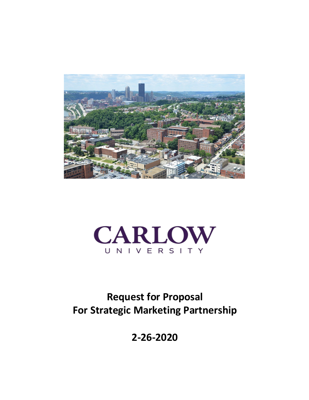



# **Request for Proposal For Strategic Marketing Partnership**

**2-26-2020**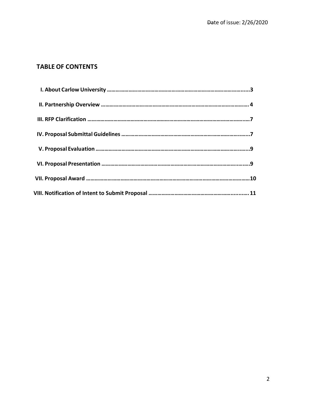## **TABLE OF CONTENTS**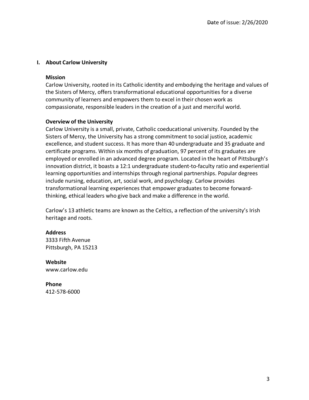#### **I. About Carlow University**

#### **Mission**

Carlow University, rooted in its Catholic identity and embodying the heritage and values of the Sisters of Mercy, offers transformational educational opportunities for a diverse community of learners and empowers them to excel in their chosen work as compassionate, responsible leaders in the creation of a just and merciful world.

#### **Overview of the University**

Carlow University is a small, private, Catholic coeducational university. Founded by the Sisters of Mercy, the University has a strong commitment to social justice, academic excellence, and student success. It has more than 40 undergraduate and 35 graduate and certificate programs. Within six months of graduation, 97 percent of its graduates are employed or enrolled in an advanced degree program. Located in the heart of Pittsburgh's innovation district, it boasts a 12:1 undergraduate student-to-faculty ratio and experiential learning opportunities and internships through regional partnerships. Popular degrees include nursing, education, art, social work, and psychology. Carlow provides transformational learning experiences that empower graduates to become forwardthinking, ethical leaders who give back and make a difference in the world.

Carlow's 13 athletic teams are known as the Celtics, a reflection of the university's Irish heritage and roots.

#### **Address**

3333 Fifth Avenue Pittsburgh, PA 15213

**Website** www.carlow.edu

**Phone** 412-578-6000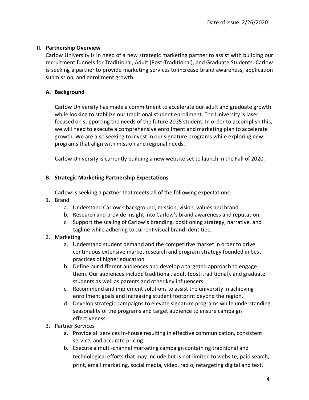#### **II. Partnership Overview**

Carlow University is in need of a new strategic marketing partner to assist with building our recruitment funnels for Traditional, Adult (Post-Traditional), and Graduate Students. Carlow is seeking a partner to provide marketing services to increase brand awareness, application submission, and enrollment growth.

## **A. Background**

Carlow University has made a commitment to accelerate our adult and graduate growth while looking to stabilize our traditional student enrollment. The University is laser focused on supporting the needs of the future 2025 student. In order to accomplish this, we will need to execute a comprehensive enrollment and marketing plan to accelerate growth. We are also seeking to invest in oursignature programs while exploring new programs that align with mission and regional needs.

Carlow University is currently building a new website set to launch in the Fall of 2020.

## **B. Strategic Marketing Partnership Expectations**

Carlow is seeking a partner that meets all of the following expectations:

- 1. Brand
	- a. Understand Carlow's background, mission, vision, values and brand.
	- b. Research and provide insight into Carlow's brand awareness and reputation.
	- c. Support the scaling of Carlow's branding, positioning strategy, narrative, and tagline while adhering to current visual brand identities.
- 2. Marketing
	- a. Understand student demand and the competitive market in order to drive continuous extensive market research and program strategy founded in best practices of higher education.
	- b. Define our different audiences and develop a targeted approach to engage them. Our audiences include traditional, adult (post-traditional), and graduate students as well as parents and other key influencers.
	- c. Recommend and implement solutions to assist the university in achieving enrollment goals and increasing student footprint beyond the region.
	- d. Develop strategic campaigns to elevate signature programs while understanding seasonality of the programs and target audience to ensure campaign effectiveness.
- 3. Partner Services
	- a. Provide all services in-house resulting in effective communication, consistent service, and accurate pricing.
	- b. Execute a multi-channel marketing campaign containing traditional and technological efforts that may include but is not limited to website, paid search, print, email marketing, social media, video, radio, retargeting digital and text.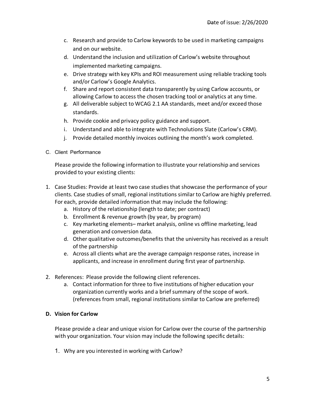- c. Research and provide to Carlow keywords to be used in marketing campaigns and on our website.
- d. Understand the inclusion and utilization of Carlow's website throughout implemented marketing campaigns.
- e. Drive strategy with key KPIs and ROI measurement using reliable tracking tools and/or Carlow's Google Analytics.
- f. Share and report consistent data transparently by using Carlow accounts, or allowing Carlow to access the chosen tracking tool or analytics at any time.
- g. All deliverable subject to WCAG 2.1 AA standards, meet and/or exceed those standards.
- h. Provide cookie and privacy policy guidance and support.
- i. Understand and able to integrate with Technolutions Slate (Carlow's CRM).
- j. Provide detailed monthly invoices outlining the month's work completed.
- C. Client Performance

Please provide the following information to illustrate your relationship and services provided to your existing clients:

- 1. Case Studies: Provide at least two case studies that showcase the performance of your clients. Case studies of small, regional institutions similar to Carlow are highly preferred. For each, provide detailed information that may include the following:
	- a. History of the relationship (length to date; per contract)
	- b. Enrollment & revenue growth (by year, by program)
	- c. Key marketing elements– market analysis, online vs offline marketing, lead generation and conversion data.
	- d. Other qualitative outcomes/benefits that the university has received as a result of the partnership
	- e. Across all clients what are the average campaign response rates, increase in applicants, and increase in enrollment during first year of partnership.
- 2. References: Please provide the following client references.
	- a. Contact information for three to five institutions of higher education your organization currently works and a brief summary of the scope of work. (references from small, regional institutions similar to Carlow are preferred)

## **D. Vision for Carlow**

Please provide a clear and unique vision for Carlow over the course of the partnership with your organization. Your vision may include the following specific details:

1. Why are you interested in working with Carlow?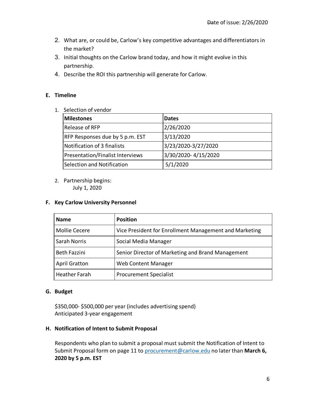- 2. What are, or could be, Carlow's key competitive advantages and differentiators in the market?
- 3. Initial thoughts on the Carlow brand today, and how it might evolve in this partnership.
- 4. Describe the ROI this partnership will generate for Carlow.

## **E. Timeline**

1. Selection of vendor

| <b>Milestones</b>                       | <b>Dates</b>        |
|-----------------------------------------|---------------------|
| <b>Release of RFP</b>                   | 2/26/2020           |
| RFP Responses due by 5 p.m. EST         | 3/13/2020           |
| Notification of 3 finalists             | 3/23/2020-3/27/2020 |
| <b>Presentation/Finalist Interviews</b> | 3/30/2020-4/15/2020 |
| Selection and Notification              | 5/1/2020            |

2. Partnership begins: July 1, 2020

#### **F. Key Carlow University Personnel**

| <b>Name</b>          | <b>Position</b>                                        |
|----------------------|--------------------------------------------------------|
| <b>Mollie Cecere</b> | Vice President for Enrollment Management and Marketing |
| <b>Sarah Norris</b>  | Social Media Manager                                   |
| <b>Beth Fazzini</b>  | Senior Director of Marketing and Brand Management      |
| <b>April Gratton</b> | <b>Web Content Manager</b>                             |
| <b>Heather Farah</b> | <b>Procurement Specialist</b>                          |

#### **G. Budget**

\$350,000- \$500,000 per year (includes advertising spend) Anticipated 3-year engagement

#### **H. Notification of Intent to Submit Proposal**

Respondents who plan to submit a proposal must submit the Notification of Intent to Submit Proposal form on page 11 to procurement@carlow.edu no later than **March 6, 2020 by 5 p.m. EST**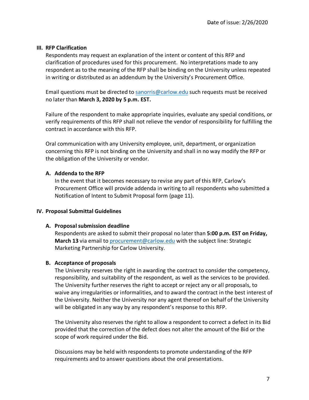#### **III. RFP Clarification**

Respondents may request an explanation of the intent or content of this RFP and clarification of procedures used for this procurement. No interpretations made to any respondent as to the meaning of the RFP shall be binding on the University unless repeated in writing or distributed as an addendum by the University's Procurement Office.

Email questions must be directed to sanorris@carlow.edu such requests must be received no later than **March 3, 2020 by 5 p.m. EST.**

Failure of the respondent to make appropriate inquiries, evaluate any special conditions, or verify requirements of this RFP shall not relieve the vendor of responsibility for fulfilling the contract in accordance with this RFP.

Oral communication with any University employee, unit, department, or organization concerning this RFP is not binding on the University and shall in no way modify the RFP or the obligation of the University or vendor.

## **A. Addenda to the RFP**

In the event that it becomes necessary to revise any part of this RFP, Carlow's Procurement Office will provide addenda in writing to all respondents who submitted a Notification of Intent to Submit Proposal form (page 11).

## **IV. Proposal Submittal Guidelines**

## **A. Proposalsubmission deadline**

Respondents are asked to submit their proposal no later than **5:00 p.m. EST on Friday, March 13** via email to procurement@carlow.edu with the subject line: Strategic Marketing Partnership for Carlow University.

## **B. Acceptance of proposals**

The University reserves the right in awarding the contract to consider the competency, responsibility, and suitability of the respondent, as well as the services to be provided. The University further reserves the right to accept or reject any or all proposals, to waive any irregularities or informalities, and to award the contract in the best interest of the University. Neither the University nor any agent thereof on behalf of the University will be obligated in any way by any respondent's response to this RFP.

The University also reserves the right to allow a respondent to correct a defect in its Bid provided that the correction of the defect does not alter the amount of the Bid or the scope of work required under the Bid.

Discussions may be held with respondents to promote understanding of the RFP requirements and to answer questions about the oral presentations.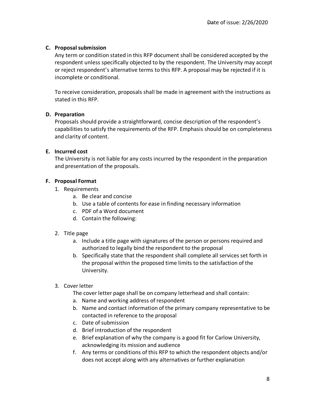## **C. Proposalsubmission**

Any term or condition stated in this RFP document shall be considered accepted by the respondent unless specifically objected to by the respondent. The University may accept or reject respondent's alternative terms to this RFP. A proposal may be rejected if it is incomplete or conditional.

To receive consideration, proposals shall be made in agreement with the instructions as stated in this RFP.

## **D. Preparation**

Proposals should provide a straightforward, concise description of the respondent's capabilities to satisfy the requirements of the RFP. Emphasis should be on completeness and clarity of content.

## **E. Incurred cost**

The University is not liable for any costs incurred by the respondent in the preparation and presentation of the proposals.

## **F. Proposal Format**

- 1. Requirements
	- a. Be clear and concise
	- b. Use a table of contents for ease in finding necessary information
	- c. PDF of a Word document
	- d. Contain the following:

## 2. Title page

- a. Include a title page with signatures of the person or persons required and authorized to legally bind the respondent to the proposal
- b. Specifically state that the respondent shall complete all services set forth in the proposal within the proposed time limits to the satisfaction of the University.
- 3. Cover letter
	- The cover letter page shall be on company letterhead and shall contain:
	- a. Name and working address of respondent
	- b. Name and contact information of the primary company representative to be contacted in reference to the proposal
	- c. Date of submission
	- d. Brief introduction of the respondent
	- e. Brief explanation of why the company is a good fit for Carlow University, acknowledging its mission and audience
	- f. Any terms or conditions of this RFP to which the respondent objects and/or does not accept along with any alternatives or further explanation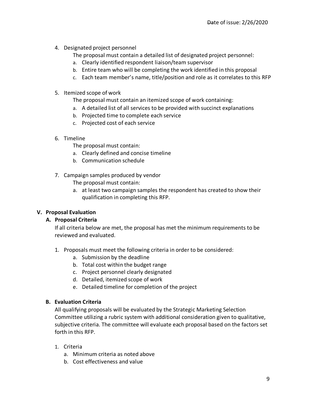- 4. Designated project personnel
	- The proposal must contain a detailed list of designated project personnel:
	- a. Clearly identified respondent liaison/team supervisor
	- b. Entire team who will be completing the work identified in this proposal
	- c. Each team member's name, title/position and role as it correlates to this RFP
- 5. Itemized scope of work

The proposal must contain an itemized scope of work containing:

- a. A detailed list of all services to be provided with succinct explanations
- b. Projected time to complete each service
- c. Projected cost of each service
- 6. Timeline
	- The proposal must contain:
	- a. Clearly defined and concise timeline
	- b. Communication schedule
- 7. Campaign samples produced by vendor

The proposal must contain:

a. at least two campaign samples the respondent has created to show their qualification in completing this RFP.

## **V. Proposal Evaluation**

#### **A. Proposal Criteria**

If all criteria below are met, the proposal has met the minimum requirements to be reviewed and evaluated.

- 1. Proposals must meet the following criteria in order to be considered:
	- a. Submission by the deadline
	- b. Total cost within the budget range
	- c. Project personnel clearly designated
	- d. Detailed, itemized scope of work
	- e. Detailed timeline for completion of the project

#### **B. Evaluation Criteria**

All qualifying proposals will be evaluated by the Strategic Marketing Selection Committee utilizing a rubric system with additional consideration given to qualitative, subjective criteria. The committee will evaluate each proposal based on the factors set forth in this RFP.

- 1. Criteria
	- a. Minimum criteria as noted above
	- b. Cost effectiveness and value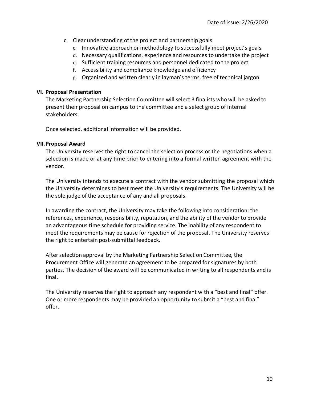- c. Clear understanding of the project and partnership goals
	- c. Innovative approach or methodology to successfully meet project's goals
	- d. Necessary qualifications, experience and resources to undertake the project
	- e. Sufficient training resources and personnel dedicated to the project
	- f. Accessibility and compliance knowledge and efficiency
	- g. Organized and written clearly in layman's terms, free of technical jargon

#### **VI. Proposal Presentation**

The Marketing Partnership Selection Committee will select 3 finalists who will be asked to present their proposal on campus to the committee and a select group of internal stakeholders.

Once selected, additional information will be provided.

#### **VII.Proposal Award**

The University reserves the right to cancel the selection process or the negotiations when a selection is made or at any time prior to entering into a formal written agreement with the vendor.

The University intends to execute a contract with the vendor submitting the proposal which the University determines to best meet the University's requirements. The University will be the sole judge of the acceptance of any and all proposals.

In awarding the contract, the University may take the following into consideration: the references, experience, responsibility, reputation, and the ability of the vendor to provide an advantageous time schedule for providing service. The inability of any respondent to meet the requirements may be cause for rejection of the proposal. The University reserves the right to entertain post-submittal feedback.

After selection approval by the Marketing Partnership Selection Committee, the Procurement Office will generate an agreement to be prepared forsignatures by both parties. The decision of the award will be communicated in writing to all respondents and is final.

The University reserves the right to approach any respondent with a "best and final" offer. One or more respondents may be provided an opportunity to submit a "best and final" offer.